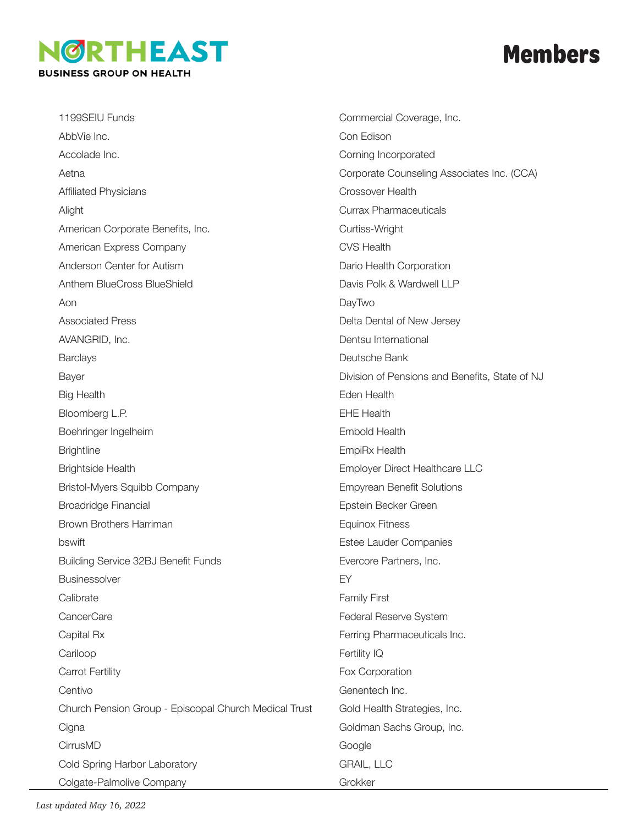## **IGRTHEAST BUSINESS GROUP ON HEALTH**

## **Members**

1199SEIU Funds AbbVie Inc. Accolade Inc. Aetna Affiliated Physicians Alight American Corporate Benefits, Inc. American Express Company Anderson Center for Autism Anthem BlueCross BlueShield Aon Associated Press AVANGRID, Inc. **Barclays** Bayer Big Health Bloomberg L.P. Boehringer Ingelheim **Brightline** Brightside Health Bristol-Myers Squibb Company Broadridge Financial Brown Brothers Harriman bswift Building Service 32BJ Benefit Funds **Businessolver Calibrate** CancerCare Capital Rx Cariloop Carrot Fertility **Centivo** Church Pension Group - Episcopal Church Medical Trust **Cigna** CirrusMD Cold Spring Harbor Laboratory Colgate-Palmolive Company

Commercial Coverage, Inc. Con Edison Corning Incorporated Corporate Counseling Associates Inc. (CCA) Crossover Health Currax Pharmaceuticals Curtiss-Wright CVS Health Dario Health Corporation Davis Polk & Wardwell LLP DayTwo Delta Dental of New Jersey Dentsu International Deutsche Bank Division of Pensions and Benefits, State of NJ Eden Health EHE Health Embold Health EmpiRx Health Employer Direct Healthcare LLC Empyrean Benefit Solutions Epstein Becker Green Equinox Fitness Estee Lauder Companies Evercore Partners, Inc. EY Family First Federal Reserve System Ferring Pharmaceuticals Inc. Fertility IQ Fox Corporation Genentech Inc. Gold Health Strategies, Inc. Goldman Sachs Group, Inc. Google GRAIL, LLC Grokker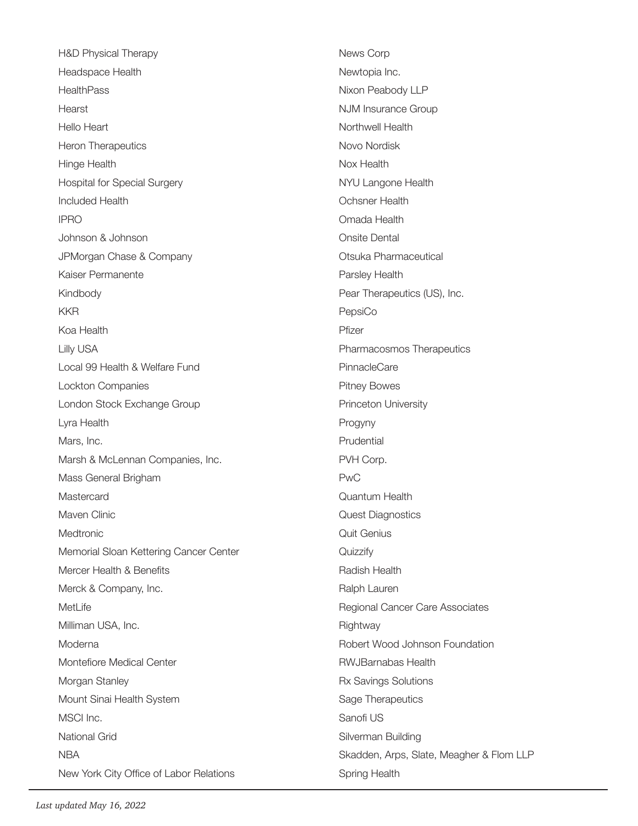H&D Physical Therapy Headspace Health **HealthPass** Hearst Hello Heart Heron Therapeutics Hinge Health Hospital for Special Surgery Included Health IPRO Johnson & Johnson JPMorgan Chase & Company Kaiser Permanente Kindbody KKR Koa Health Lilly USA Local 99 Health & Welfare Fund Lockton Companies London Stock Exchange Group Lyra Health Mars, Inc. Marsh & McLennan Companies, Inc. Mass General Brigham **Mastercard** Maven Clinic Medtronic Memorial Sloan Kettering Cancer Center Mercer Health & Benefits Merck & Company, Inc. MetLife Milliman USA, Inc. Moderna Montefiore Medical Center Morgan Stanley Mount Sinai Health System MSCI Inc. National Grid **NBA** New York City Office of Labor Relations

News Corp Newtopia Inc. Nixon Peabody LLP NJM Insurance Group Northwell Health Novo Nordisk Nox Health NYU Langone Health Ochsner Health Omada Health Onsite Dental Otsuka Pharmaceutical Parsley Health Pear Therapeutics (US), Inc. PepsiCo Pfizer Pharmacosmos Therapeutics **PinnacleCare** Pitney Bowes Princeton University Progyny Prudential PVH Corp. PwC Quantum Health Quest Diagnostics Quit Genius **Quizzify** Radish Health Ralph Lauren Regional Cancer Care Associates **Rightway** Robert Wood Johnson Foundation RWJBarnabas Health Rx Savings Solutions Sage Therapeutics Sanofi US Silverman Building Skadden, Arps, Slate, Meagher & Flom LLP Spring Health